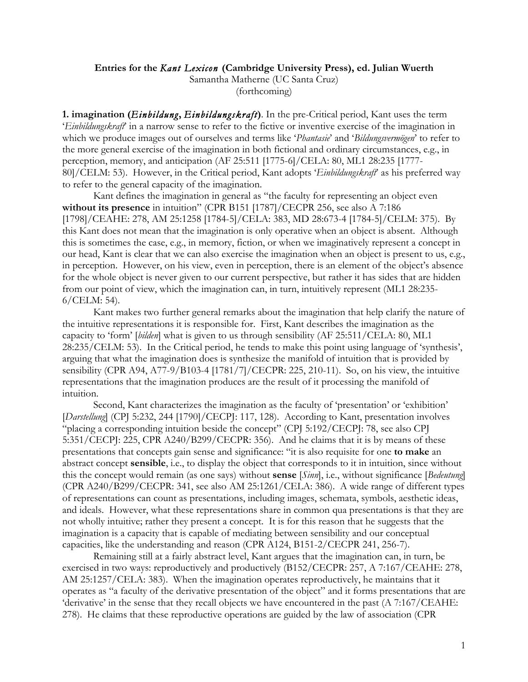## **Entries for the** *Kant Lexicon* **(Cambridge University Press), ed. Julian Wuerth**

Samantha Matherne (UC Santa Cruz) (forthcoming)

**1. imagination (***Einbildung***,** *Einbildungskraft***)**. In the pre-Critical period, Kant uses the term '*Einbildungskraft*' in a narrow sense to refer to the fictive or inventive exercise of the imagination in which we produce images out of ourselves and terms like '*Phantasie*' and '*Bildungsvermögen*' to refer to the more general exercise of the imagination in both fictional and ordinary circumstances, e.g., in perception, memory, and anticipation (AF 25:511 [1775-6]/CELA: 80, ML1 28:235 [1777- 80]/CELM: 53). However, in the Critical period, Kant adopts '*Einbildungskraft*' as his preferred way to refer to the general capacity of the imagination.

Kant defines the imagination in general as "the faculty for representing an object even **without its presence** in intuition" (CPR B151 [1787]/CECPR 256, see also A 7:186 [1798]/CEAHE: 278, AM 25:1258 [1784-5]/CELA: 383, MD 28:673-4 [1784-5]/CELM: 375). By this Kant does not mean that the imagination is only operative when an object is absent. Although this is sometimes the case, e.g., in memory, fiction, or when we imaginatively represent a concept in our head, Kant is clear that we can also exercise the imagination when an object is present to us, e.g., in perception. However, on his view, even in perception, there is an element of the object's absence for the whole object is never given to our current perspective, but rather it has sides that are hidden from our point of view, which the imagination can, in turn, intuitively represent (ML1 28:235- 6/CELM: 54).

Kant makes two further general remarks about the imagination that help clarify the nature of the intuitive representations it is responsible for. First, Kant describes the imagination as the capacity to 'form' [*bilden*] what is given to us through sensibility (AF 25:511/CELA: 80, ML1 28:235/CELM: 53). In the Critical period, he tends to make this point using language of 'synthesis', arguing that what the imagination does is synthesize the manifold of intuition that is provided by sensibility (CPR A94, A77-9/B103-4 [1781/7]/CECPR: 225, 210-11). So, on his view, the intuitive representations that the imagination produces are the result of it processing the manifold of intuition.

Second, Kant characterizes the imagination as the faculty of 'presentation' or 'exhibition' [*Darstellung*] (CPJ 5:232, 244 [1790]/CECP]: 117, 128). According to Kant, presentation involves "placing a corresponding intuition beside the concept" (CPJ 5:192/CECPJ: 78, see also CPJ 5:351/CECPJ: 225, CPR A240/B299/CECPR: 356). And he claims that it is by means of these presentations that concepts gain sense and significance: "it is also requisite for one **to make** an abstract concept **sensible**, i.e., to display the object that corresponds to it in intuition, since without this the concept would remain (as one says) without **sense** [*Sinn*], i.e., without significance [*Bedeutung*] (CPR A240/B299/CECPR: 341, see also AM 25:1261/CELA: 386). A wide range of different types of representations can count as presentations, including images, schemata, symbols, aesthetic ideas, and ideals. However, what these representations share in common qua presentations is that they are not wholly intuitive; rather they present a concept. It is for this reason that he suggests that the imagination is a capacity that is capable of mediating between sensibility and our conceptual capacities, like the understanding and reason (CPR A124, B151-2/CECPR 241, 256-7).

Remaining still at a fairly abstract level, Kant argues that the imagination can, in turn, be exercised in two ways: reproductively and productively (B152/CECPR: 257, A 7:167/CEAHE: 278, AM 25:1257/CELA: 383). When the imagination operates reproductively, he maintains that it operates as "a faculty of the derivative presentation of the object" and it forms presentations that are 'derivative' in the sense that they recall objects we have encountered in the past (A 7:167/CEAHE: 278). He claims that these reproductive operations are guided by the law of association (CPR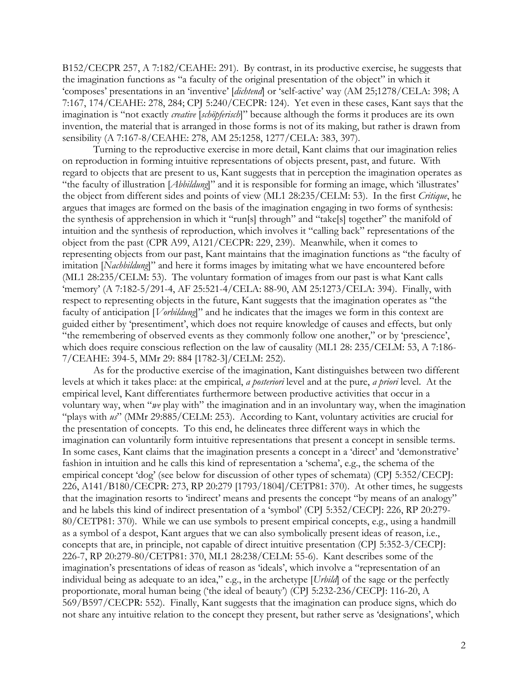B152/CECPR 257, A 7:182/CEAHE: 291). By contrast, in its productive exercise, he suggests that the imagination functions as "a faculty of the original presentation of the object" in which it 'composes' presentations in an 'inventive' [*dichtend*] or 'self-active' way (AM 25;1278/CELA: 398; A 7:167, 174/CEAHE: 278, 284; CPJ 5:240/CECPR: 124). Yet even in these cases, Kant says that the imagination is "not exactly *creative* [*schöpferisch*]" because although the forms it produces are its own invention, the material that is arranged in those forms is not of its making, but rather is drawn from sensibility (A 7:167-8/CEAHE: 278, AM 25:1258, 1277/CELA: 383, 397).

Turning to the reproductive exercise in more detail, Kant claims that our imagination relies on reproduction in forming intuitive representations of objects present, past, and future. With regard to objects that are present to us, Kant suggests that in perception the imagination operates as "the faculty of illustration [*Abbildung*]" and it is responsible for forming an image, which 'illustrates' the object from different sides and points of view (ML1 28:235/CELM: 53). In the first *Critique*, he argues that images are formed on the basis of the imagination engaging in two forms of synthesis: the synthesis of apprehension in which it "run[s] through" and "take[s] together" the manifold of intuition and the synthesis of reproduction, which involves it "calling back" representations of the object from the past (CPR A99, A121/CECPR: 229, 239). Meanwhile, when it comes to representing objects from our past, Kant maintains that the imagination functions as "the faculty of imitation [*Nachbildung*]" and here it forms images by imitating what we have encountered before (ML1 28:235/CELM: 53). The voluntary formation of images from our past is what Kant calls 'memory' (A 7:182-5/291-4, AF 25:521-4/CELA: 88-90, AM 25:1273/CELA: 394). Finally, with respect to representing objects in the future, Kant suggests that the imagination operates as "the faculty of anticipation [*Vorbildung*]" and he indicates that the images we form in this context are guided either by 'presentiment', which does not require knowledge of causes and effects, but only "the remembering of observed events as they commonly follow one another," or by 'prescience', which does require conscious reflection on the law of causality (ML1 28: 235/CELM: 53, A 7:186- 7/CEAHE: 394-5, MMr 29: 884 [1782-3]/CELM: 252).

As for the productive exercise of the imagination, Kant distinguishes between two different levels at which it takes place: at the empirical, *a posteriori* level and at the pure, *a priori* level. At the empirical level, Kant differentiates furthermore between productive activities that occur in a voluntary way, when "*we* play with" the imagination and in an involuntary way, when the imagination "plays with  $u s$ " (MMr 29:885/CELM: 253). According to Kant, voluntary activities are crucial for the presentation of concepts. To this end, he delineates three different ways in which the imagination can voluntarily form intuitive representations that present a concept in sensible terms. In some cases, Kant claims that the imagination presents a concept in a 'direct' and 'demonstrative' fashion in intuition and he calls this kind of representation a 'schema', e.g., the schema of the empirical concept 'dog' (see below for discussion of other types of schemata) (CPJ 5:352/CECPJ: 226, A141/B180/CECPR: 273, RP 20:279 [1793/1804]/CETP81: 370). At other times, he suggests that the imagination resorts to 'indirect' means and presents the concept "by means of an analogy" and he labels this kind of indirect presentation of a 'symbol' (CPJ 5:352/CECPJ: 226, RP 20:279- 80/CETP81: 370). While we can use symbols to present empirical concepts, e.g., using a handmill as a symbol of a despot, Kant argues that we can also symbolically present ideas of reason, i.e., concepts that are, in principle, not capable of direct intuitive presentation (CPJ 5:352-3/CECPJ: 226-7, RP 20:279-80/CETP81: 370, ML1 28:238/CELM: 55-6). Kant describes some of the imagination's presentations of ideas of reason as 'ideals', which involve a "representation of an individual being as adequate to an idea," e.g., in the archetype [*Urbild*] of the sage or the perfectly proportionate, moral human being ('the ideal of beauty') (CPJ 5:232-236/CECPJ: 116-20, A 569/B597/CECPR: 552). Finally, Kant suggests that the imagination can produce signs, which do not share any intuitive relation to the concept they present, but rather serve as 'designations', which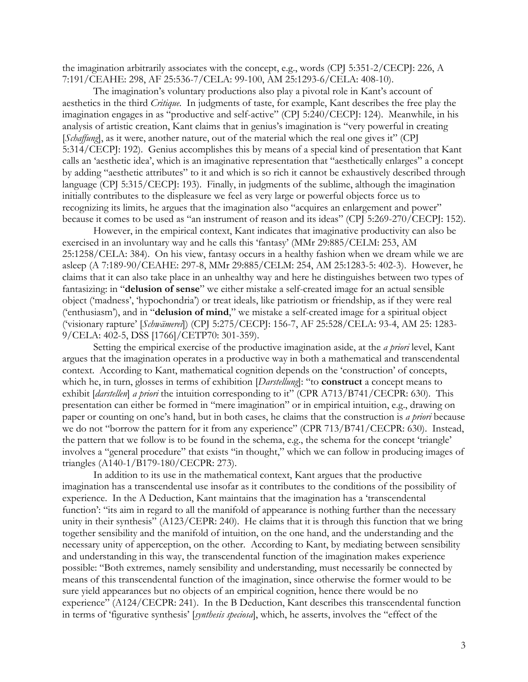the imagination arbitrarily associates with the concept, e.g., words (CPJ 5:351-2/CECPJ: 226, A 7:191/CEAHE: 298, AF 25:536-7/CELA: 99-100, AM 25:1293-6/CELA: 408-10).

The imagination's voluntary productions also play a pivotal role in Kant's account of aesthetics in the third *Critique*. In judgments of taste, for example, Kant describes the free play the imagination engages in as "productive and self-active" (CPJ 5:240/CECPJ: 124). Meanwhile, in his analysis of artistic creation, Kant claims that in genius's imagination is "very powerful in creating [*Schaffung*], as it were, another nature, out of the material which the real one gives it" (CP] 5:314/CECPJ: 192). Genius accomplishes this by means of a special kind of presentation that Kant calls an 'aesthetic idea', which is an imaginative representation that "aesthetically enlarges" a concept by adding "aesthetic attributes" to it and which is so rich it cannot be exhaustively described through language (CPJ 5:315/CECPJ: 193). Finally, in judgments of the sublime, although the imagination initially contributes to the displeasure we feel as very large or powerful objects force us to recognizing its limits, he argues that the imagination also "acquires an enlargement and power" because it comes to be used as "an instrument of reason and its ideas" (CPJ 5:269-270/CECPJ: 152).

However, in the empirical context, Kant indicates that imaginative productivity can also be exercised in an involuntary way and he calls this 'fantasy' (MMr 29:885/CELM: 253, AM 25:1258/CELA: 384). On his view, fantasy occurs in a healthy fashion when we dream while we are asleep (A 7:189-90/CEAHE: 297-8, MMr 29:885/CELM: 254, AM 25:1283-5: 402-3). However, he claims that it can also take place in an unhealthy way and here he distinguishes between two types of fantasizing: in "**delusion of sense**" we either mistake a self-created image for an actual sensible object ('madness', 'hypochondria') or treat ideals, like patriotism or friendship, as if they were real ('enthusiasm'), and in "**delusion of mind**," we mistake a self-created image for a spiritual object ('visionary rapture' [*Schwämerei*]) (CPJ 5:275/CECPJ: 156-7, AF 25:528/CELA: 93-4, AM 25: 1283- 9/CELA: 402-5, DSS [1766]/CETP70: 301-359).

Setting the empirical exercise of the productive imagination aside, at the *a priori* level, Kant argues that the imagination operates in a productive way in both a mathematical and transcendental context. According to Kant, mathematical cognition depends on the 'construction' of concepts, which he, in turn, glosses in terms of exhibition [*Darstellung*]: "to **construct** a concept means to exhibit [*darstellen*] *a priori* the intuition corresponding to it" (CPR A713/B741/CECPR: 630). This presentation can either be formed in "mere imagination" or in empirical intuition, e.g., drawing on paper or counting on one's hand, but in both cases, he claims that the construction is *a priori* because we do not "borrow the pattern for it from any experience" (CPR 713/B741/CECPR: 630). Instead, the pattern that we follow is to be found in the schema, e.g., the schema for the concept 'triangle' involves a "general procedure" that exists "in thought," which we can follow in producing images of triangles (A140-1/B179-180/CECPR: 273).

In addition to its use in the mathematical context, Kant argues that the productive imagination has a transcendental use insofar as it contributes to the conditions of the possibility of experience. In the A Deduction, Kant maintains that the imagination has a 'transcendental function': "its aim in regard to all the manifold of appearance is nothing further than the necessary unity in their synthesis" (A123/CEPR: 240). He claims that it is through this function that we bring together sensibility and the manifold of intuition, on the one hand, and the understanding and the necessary unity of apperception, on the other. According to Kant, by mediating between sensibility and understanding in this way, the transcendental function of the imagination makes experience possible: "Both extremes, namely sensibility and understanding, must necessarily be connected by means of this transcendental function of the imagination, since otherwise the former would to be sure yield appearances but no objects of an empirical cognition, hence there would be no experience" (A124/CECPR: 241). In the B Deduction, Kant describes this transcendental function in terms of 'figurative synthesis' [*synthesis speciosa*], which, he asserts, involves the "effect of the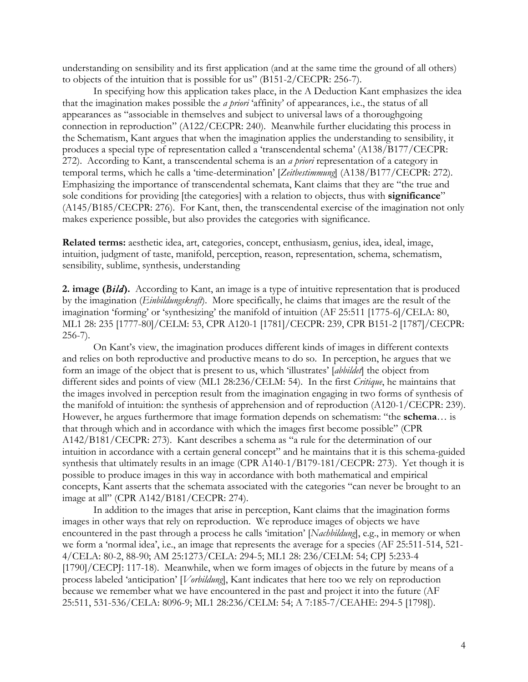understanding on sensibility and its first application (and at the same time the ground of all others) to objects of the intuition that is possible for us" (B151-2/CECPR: 256-7).

In specifying how this application takes place, in the A Deduction Kant emphasizes the idea that the imagination makes possible the *a priori* 'affinity' of appearances, i.e., the status of all appearances as "associable in themselves and subject to universal laws of a thoroughgoing connection in reproduction" (A122/CECPR: 240). Meanwhile further elucidating this process in the Schematism, Kant argues that when the imagination applies the understanding to sensibility, it produces a special type of representation called a 'transcendental schema' (A138/B177/CECPR: 272). According to Kant, a transcendental schema is an *a priori* representation of a category in temporal terms, which he calls a 'time-determination' [*Zeitbestimmung*] (A138/B177/CECPR: 272). Emphasizing the importance of transcendental schemata, Kant claims that they are "the true and sole conditions for providing [the categories] with a relation to objects, thus with **significance**" (A145/B185/CECPR: 276). For Kant, then, the transcendental exercise of the imagination not only makes experience possible, but also provides the categories with significance.

**Related terms:** aesthetic idea, art, categories, concept, enthusiasm, genius, idea, ideal, image, intuition, judgment of taste, manifold, perception, reason, representation, schema, schematism, sensibility, sublime, synthesis, understanding

**2. image (***Bild***).** According to Kant, an image is a type of intuitive representation that is produced by the imagination (*Einbildungskraft*). More specifically, he claims that images are the result of the imagination 'forming' or 'synthesizing' the manifold of intuition (AF 25:511 [1775-6]/CELA: 80, ML1 28: 235 [1777-80]/CELM: 53, CPR A120-1 [1781]/CECPR: 239, CPR B151-2 [1787]/CECPR: 256-7).

On Kant's view, the imagination produces different kinds of images in different contexts and relies on both reproductive and productive means to do so. In perception, he argues that we form an image of the object that is present to us, which 'illustrates' [*abbildet*] the object from different sides and points of view (ML1 28:236/CELM: 54). In the first *Critique*, he maintains that the images involved in perception result from the imagination engaging in two forms of synthesis of the manifold of intuition: the synthesis of apprehension and of reproduction (A120-1/CECPR: 239). However, he argues furthermore that image formation depends on schematism: "the **schema**… is that through which and in accordance with which the images first become possible" (CPR A142/B181/CECPR: 273). Kant describes a schema as "a rule for the determination of our intuition in accordance with a certain general concept" and he maintains that it is this schema-guided synthesis that ultimately results in an image (CPR A140-1/B179-181/CECPR: 273). Yet though it is possible to produce images in this way in accordance with both mathematical and empirical concepts, Kant asserts that the schemata associated with the categories "can never be brought to an image at all" (CPR A142/B181/CECPR: 274).

In addition to the images that arise in perception, Kant claims that the imagination forms images in other ways that rely on reproduction. We reproduce images of objects we have encountered in the past through a process he calls 'imitation' [*Nachbildung*], e.g., in memory or when we form a 'normal idea', i.e., an image that represents the average for a species (AF 25:511-514, 521- 4/CELA: 80-2, 88-90; AM 25:1273/CELA: 294-5; ML1 28: 236/CELM: 54; CPJ 5:233-4 [1790]/CECPJ: 117-18). Meanwhile, when we form images of objects in the future by means of a process labeled 'anticipation' [*Vorbildung*], Kant indicates that here too we rely on reproduction because we remember what we have encountered in the past and project it into the future (AF 25:511, 531-536/CELA: 8096-9; ML1 28:236/CELM: 54; A 7:185-7/CEAHE: 294-5 [1798]).